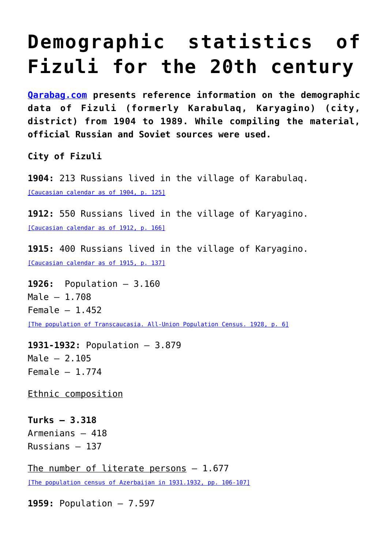## **[Demographic statistics of](https://qarabag.com/demographic-statistics-of-fizuli-for-the-20th-century/) [Fizuli for the 20th century](https://qarabag.com/demographic-statistics-of-fizuli-for-the-20th-century/)**

**[Qarabag.com](https://qarabag.com/) presents reference information on the demographic data of Fizuli (formerly Karabulaq, Karyagino) (city, district) from 1904 to 1989. While compiling the material, official Russian and Soviet sources were used.**

**City of Fizuli**

**1904:** 213 Russians lived in the village of Karabulaq. [\[Caucasian calendar as of 1904, p. 125\]](https://qarabag.com/wp-content/uploads/2022/06/Кавказс_календ-на_1904_год-.pdf)

**1912:** 550 Russians lived in the village of Karyagino. [\[Caucasian calendar as of 1912, p. 166\]](https://qarabag.com/wp-content/uploads/2022/06/Кавказский_календарь_Текст_на_1912_год.pdf)

**1915:** 400 Russians lived in the village of Karyagino. [\[Caucasian calendar as of 1915, p. 137\]](https://qarabag.com/wp-content/uploads/2022/06/Кавказский_календарь_Текст_на_1915_год.pdf)

**1926:** Population – 3.160 Male – 1.708 Female  $-1.452$ [\[The population of Transcaucasia. All-Union Population Census. 1928, p. 6\]](https://qarabag.com/wp-content/uploads/2022/06/Население-Закавказья-1926.pdf)

**1931-1932:** Population – 3.879 Male – 2.105 Female  $-1.774$ 

Ethnic composition

**Turks – 3.318** Armenians – 418 Russians – 137

The number of literate persons  $-1.677$ [\[The population census of Azerbaijan in 1931.1932, pp. 106-107\]](https://qarabag.com/wp-content/uploads/2022/06/Перепись-населения-Азербайджана-1931-г.-1.pdf)

**1959:** Population – 7.597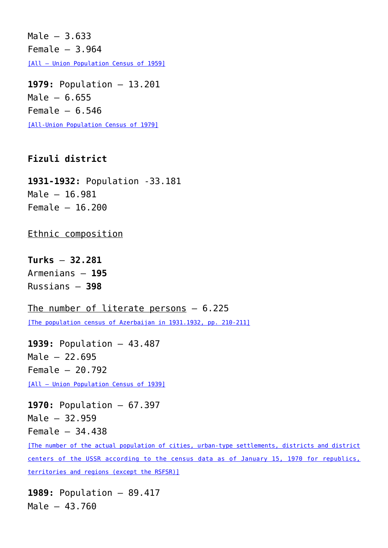Male – 3.633 Female  $-3.964$ [\[All – Union Population Census of 1959\]](http://www.demoscope.ru/weekly/ssp/ussr59_reg2.php)

**1979:** Population – 13.201 Male – 6.655 Female  $-6.546$ [\[All-Union Population Census of 1979\]](http://www.demoscope.ru/weekly/ssp/ussr79_reg2.php)

## **Fizuli district**

**1931-1932:** Population -33.181 Male – 16.981 Female – 16.200

Ethnic composition

**Turks** – **32.281** Armenians – **195** Russians – **398**

The number of literate persons - 6.225 [\[The population census of Azerbaijan in 1931.1932, pp. 210-211\]](http://www.demoscope.ru/weekly/ssp/ussr79_reg2.php)

**1939:** Population – 43.487 Male – 22.695 Female – 20.792 [\[All – Union Population Census of 1939\]](http://www.demoscope.ru/weekly/ssp/rus_pop_39_2.php)

**1970:** Population – 67.397 Male – 32.959 Female – 34.438

[\[The number of the actual population of cities, urban-type settlements, districts and district](http://www.demoscope.ru/weekly/ssp/ussr70_reg1.php) [centers of the USSR according to the census data as of January 15, 1970 for republics,](http://www.demoscope.ru/weekly/ssp/ussr70_reg1.php) [territories and regions \(except the RSFSR\)\]](http://www.demoscope.ru/weekly/ssp/ussr70_reg1.php)

**1989:** Population – 89.417 Male – 43.760